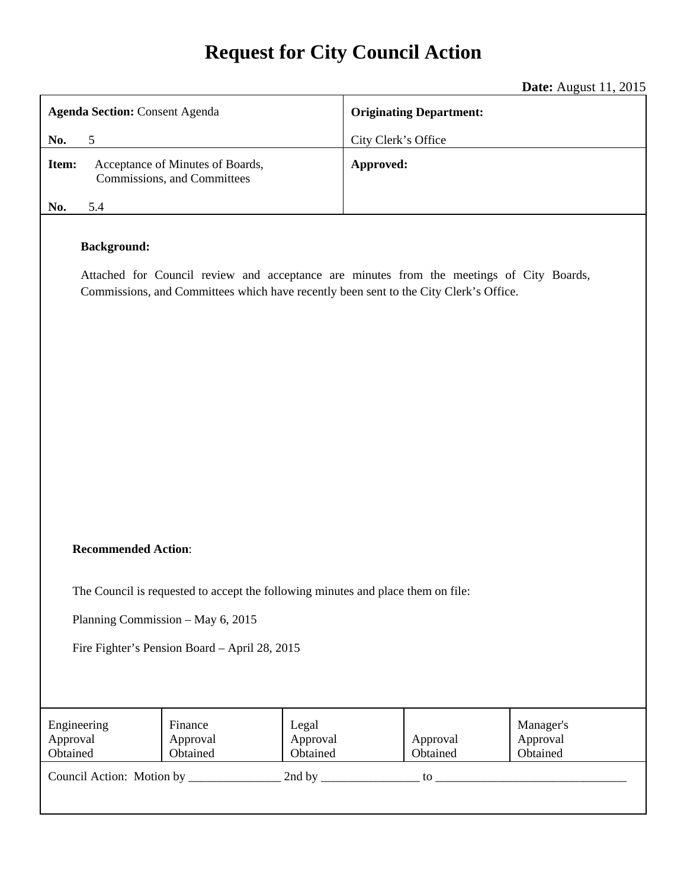# **Request for City Council Action**

|                                                                                                                                                                                                         | <b>Date:</b> August 11, 2015   |  |
|---------------------------------------------------------------------------------------------------------------------------------------------------------------------------------------------------------|--------------------------------|--|
| <b>Agenda Section: Consent Agenda</b>                                                                                                                                                                   | <b>Originating Department:</b> |  |
| 5<br>No.                                                                                                                                                                                                | City Clerk's Office            |  |
| Item:<br>Acceptance of Minutes of Boards,<br>Commissions, and Committees                                                                                                                                | Approved:                      |  |
| 5.4<br>No.                                                                                                                                                                                              |                                |  |
| <b>Background:</b><br>Attached for Council review and acceptance are minutes from the meetings of City Boards,<br>Commissions, and Committees which have recently been sent to the City Clerk's Office. |                                |  |
| <b>Recommended Action:</b>                                                                                                                                                                              |                                |  |
| The Council is requested to accept the following minutes and place them on file:                                                                                                                        |                                |  |
| Planning Commission - May 6, 2015                                                                                                                                                                       |                                |  |
| Fire Fighter's Pension Board - April 28, 2015                                                                                                                                                           |                                |  |

| Engineering<br>Approval<br>Obtained       | Finance<br>Approval<br>Obtained | Legal<br>Approval<br>Obtained | Approval<br>Obtained | Manager's<br>Approval<br>Obtained |
|-------------------------------------------|---------------------------------|-------------------------------|----------------------|-----------------------------------|
| Council Action: Motion by<br>2nd by<br>tο |                                 |                               |                      |                                   |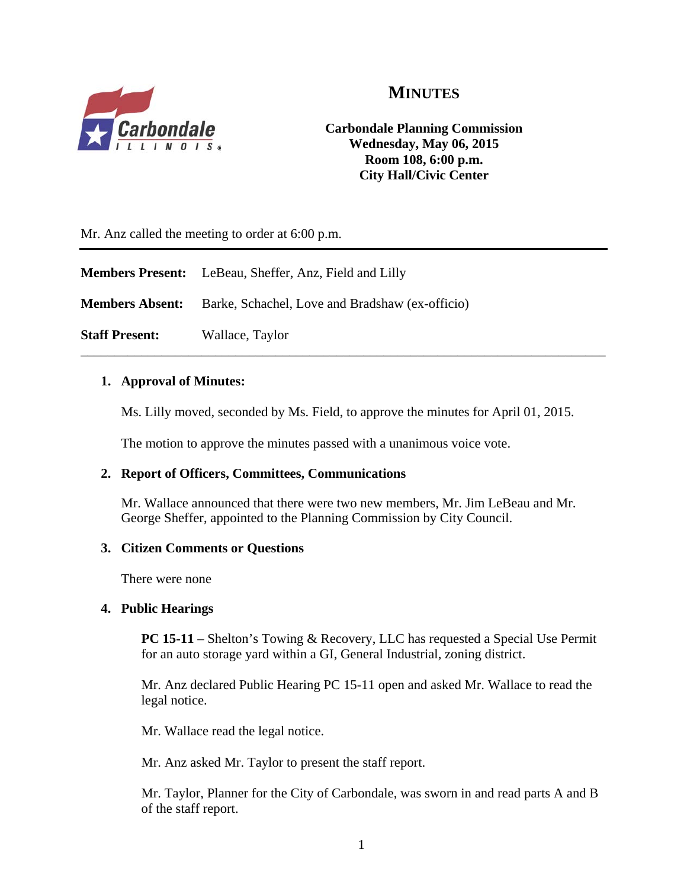

# **MINUTES**

**Carbondale Planning Commission Wednesday, May 06, 2015 Room 108, 6:00 p.m. City Hall/Civic Center** 

Mr. Anz called the meeting to order at 6:00 p.m.

|                       | <b>Members Present:</b> LeBeau, Sheffer, Anz, Field and Lilly          |
|-----------------------|------------------------------------------------------------------------|
|                       | <b>Members Absent:</b> Barke, Schachel, Love and Bradshaw (ex-officio) |
| <b>Staff Present:</b> | Wallace, Taylor                                                        |

#### **1. Approval of Minutes:**

Ms. Lilly moved, seconded by Ms. Field, to approve the minutes for April 01, 2015.

The motion to approve the minutes passed with a unanimous voice vote.

#### **2. Report of Officers, Committees, Communications**

Mr. Wallace announced that there were two new members, Mr. Jim LeBeau and Mr. George Sheffer, appointed to the Planning Commission by City Council.

#### **3. Citizen Comments or Questions**

There were none

#### **4. Public Hearings**

**PC 15-11** – Shelton's Towing & Recovery, LLC has requested a Special Use Permit for an auto storage yard within a GI, General Industrial, zoning district.

Mr. Anz declared Public Hearing PC 15-11 open and asked Mr. Wallace to read the legal notice.

Mr. Wallace read the legal notice.

Mr. Anz asked Mr. Taylor to present the staff report.

Mr. Taylor, Planner for the City of Carbondale, was sworn in and read parts A and B of the staff report.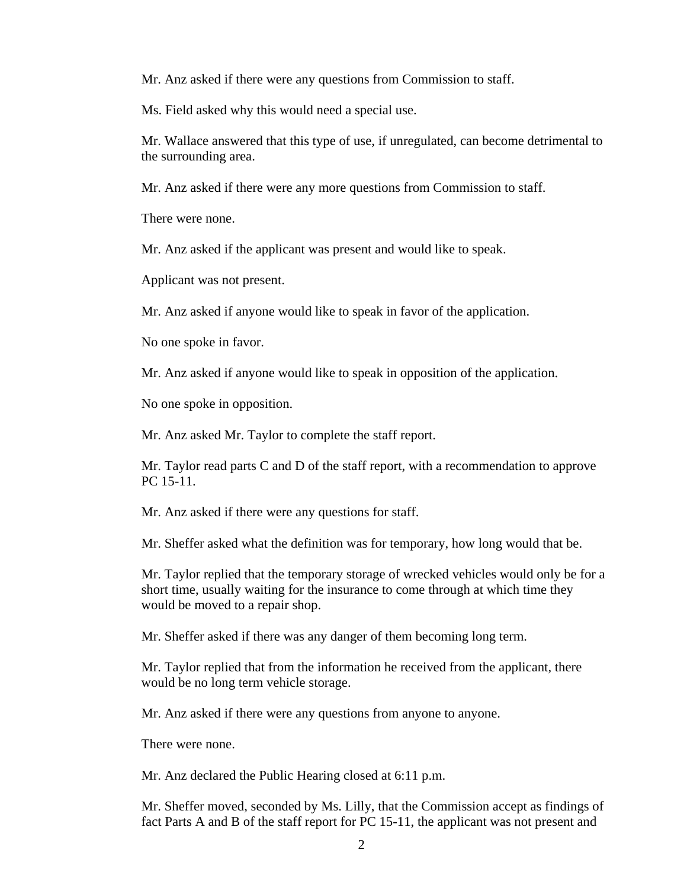Mr. Anz asked if there were any questions from Commission to staff.

Ms. Field asked why this would need a special use.

Mr. Wallace answered that this type of use, if unregulated, can become detrimental to the surrounding area.

Mr. Anz asked if there were any more questions from Commission to staff.

There were none.

Mr. Anz asked if the applicant was present and would like to speak.

Applicant was not present.

Mr. Anz asked if anyone would like to speak in favor of the application.

No one spoke in favor.

Mr. Anz asked if anyone would like to speak in opposition of the application.

No one spoke in opposition.

Mr. Anz asked Mr. Taylor to complete the staff report.

Mr. Taylor read parts C and D of the staff report, with a recommendation to approve PC 15-11.

Mr. Anz asked if there were any questions for staff.

Mr. Sheffer asked what the definition was for temporary, how long would that be.

Mr. Taylor replied that the temporary storage of wrecked vehicles would only be for a short time, usually waiting for the insurance to come through at which time they would be moved to a repair shop.

Mr. Sheffer asked if there was any danger of them becoming long term.

Mr. Taylor replied that from the information he received from the applicant, there would be no long term vehicle storage.

Mr. Anz asked if there were any questions from anyone to anyone.

There were none.

Mr. Anz declared the Public Hearing closed at 6:11 p.m.

Mr. Sheffer moved, seconded by Ms. Lilly, that the Commission accept as findings of fact Parts A and B of the staff report for PC 15-11, the applicant was not present and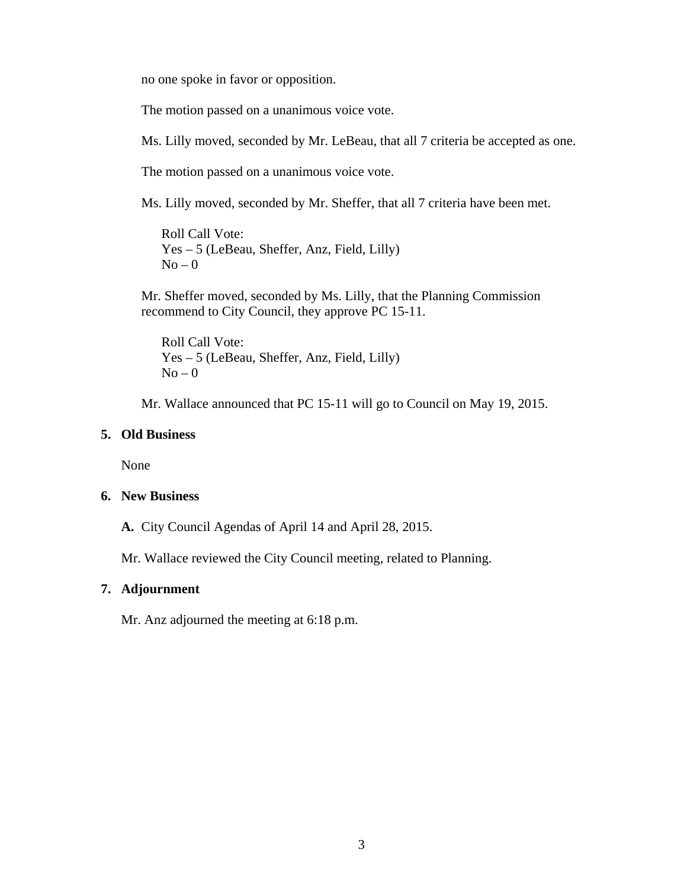no one spoke in favor or opposition.

The motion passed on a unanimous voice vote.

Ms. Lilly moved, seconded by Mr. LeBeau, that all 7 criteria be accepted as one.

The motion passed on a unanimous voice vote.

Ms. Lilly moved, seconded by Mr. Sheffer, that all 7 criteria have been met.

Roll Call Vote: Yes – 5 (LeBeau, Sheffer, Anz, Field, Lilly)  $No - 0$ 

Mr. Sheffer moved, seconded by Ms. Lilly, that the Planning Commission recommend to City Council, they approve PC 15-11.

Roll Call Vote: Yes – 5 (LeBeau, Sheffer, Anz, Field, Lilly)  $No - 0$ 

Mr. Wallace announced that PC 15-11 will go to Council on May 19, 2015.

#### **5. Old Business**

None

#### **6. New Business**

**A.** City Council Agendas of April 14 and April 28, 2015.

Mr. Wallace reviewed the City Council meeting, related to Planning.

#### **7. Adjournment**

Mr. Anz adjourned the meeting at 6:18 p.m.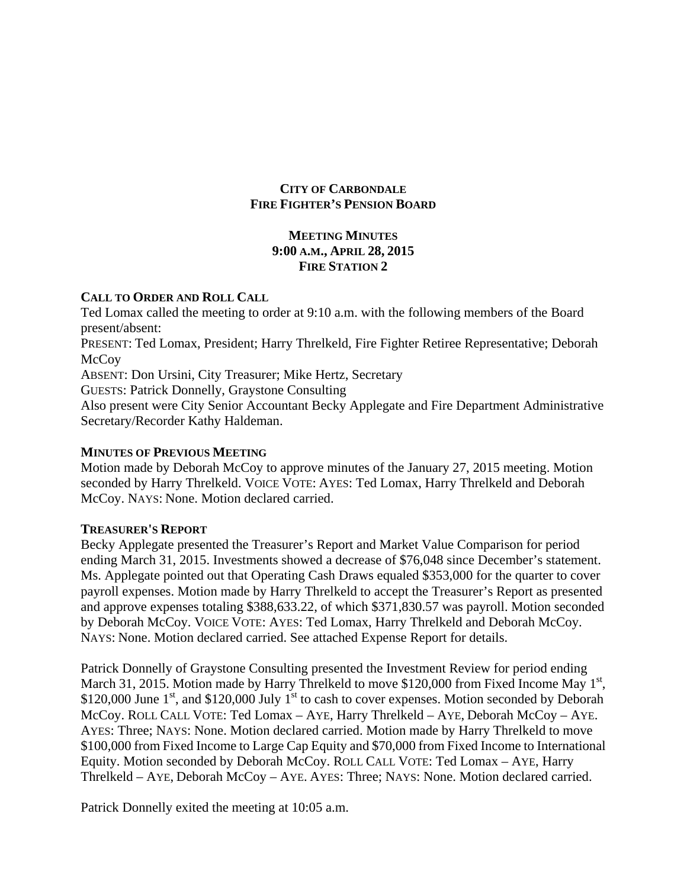#### **CITY OF CARBONDALE FIRE FIGHTER'S PENSION BOARD**

#### **MEETING MINUTES 9:00 A.M., APRIL 28, 2015 FIRE STATION 2**

#### **CALL TO ORDER AND ROLL CALL**

Ted Lomax called the meeting to order at 9:10 a.m. with the following members of the Board present/absent: PRESENT: Ted Lomax, President; Harry Threlkeld, Fire Fighter Retiree Representative; Deborah **McCoy** ABSENT: Don Ursini, City Treasurer; Mike Hertz, Secretary GUESTS: Patrick Donnelly, Graystone Consulting Also present were City Senior Accountant Becky Applegate and Fire Department Administrative Secretary/Recorder Kathy Haldeman.

#### **MINUTES OF PREVIOUS MEETING**

Motion made by Deborah McCoy to approve minutes of the January 27, 2015 meeting. Motion seconded by Harry Threlkeld. VOICE VOTE: AYES: Ted Lomax, Harry Threlkeld and Deborah McCoy. NAYS: None. Motion declared carried.

#### **TREASURER'S REPORT**

Becky Applegate presented the Treasurer's Report and Market Value Comparison for period ending March 31, 2015. Investments showed a decrease of \$76,048 since December's statement. Ms. Applegate pointed out that Operating Cash Draws equaled \$353,000 for the quarter to cover payroll expenses. Motion made by Harry Threlkeld to accept the Treasurer's Report as presented and approve expenses totaling \$388,633.22, of which \$371,830.57 was payroll. Motion seconded by Deborah McCoy. VOICE VOTE: AYES: Ted Lomax, Harry Threlkeld and Deborah McCoy. NAYS: None. Motion declared carried. See attached Expense Report for details.

Patrick Donnelly of Graystone Consulting presented the Investment Review for period ending March 31, 2015. Motion made by Harry Threlkeld to move \$120,000 from Fixed Income May 1<sup>st</sup>, \$120,000 June  $1<sup>st</sup>$ , and \$120,000 July  $1<sup>st</sup>$  to cash to cover expenses. Motion seconded by Deborah McCoy. ROLL CALL VOTE: Ted Lomax – AYE, Harry Threlkeld – AYE, Deborah McCoy – AYE. AYES: Three; NAYS: None. Motion declared carried. Motion made by Harry Threlkeld to move \$100,000 from Fixed Income to Large Cap Equity and \$70,000 from Fixed Income to International Equity. Motion seconded by Deborah McCoy. ROLL CALL VOTE: Ted Lomax – AYE, Harry Threlkeld – AYE, Deborah McCoy – AYE. AYES: Three; NAYS: None. Motion declared carried.

Patrick Donnelly exited the meeting at 10:05 a.m.